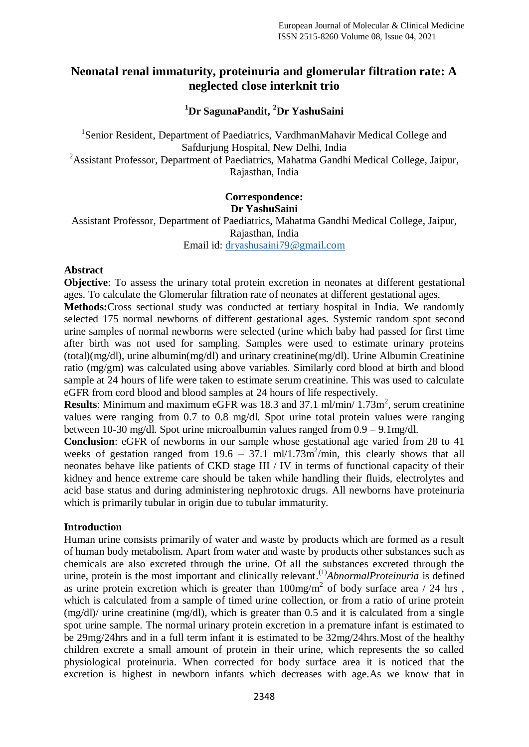# **Neonatal renal immaturity, proteinuria and glomerular filtration rate: A neglected close interknit trio**

#### **<sup>1</sup>Dr SagunaPandit, <sup>2</sup>Dr YashuSaini**

<sup>1</sup>Senior Resident, Department of Paediatrics, VardhmanMahavir Medical College and Safdurjung Hospital, New Delhi, India <sup>2</sup>Assistant Professor, Department of Paediatrics, Mahatma Gandhi Medical College, Jaipur, Rajasthan, India

# **Correspondence: Dr YashuSaini**

Assistant Professor, Department of Paediatrics, Mahatma Gandhi Medical College, Jaipur, Rajasthan, India Email id: [dryashusaini79@gmail.com](mailto:dryashusaini79@gmail.com)

**Abstract**

**Objective**: To assess the urinary total protein excretion in neonates at different gestational ages. To calculate the Glomerular filtration rate of neonates at different gestational ages.

**Methods:**Cross sectional study was conducted at tertiary hospital in India. We randomly selected 175 normal newborns of different gestational ages. Systemic random spot second urine samples of normal newborns were selected (urine which baby had passed for first time after birth was not used for sampling. Samples were used to estimate urinary proteins (total)(mg/dl), urine albumin(mg/dl) and urinary creatinine(mg/dl). Urine Albumin Creatinine ratio (mg/gm) was calculated using above variables. Similarly cord blood at birth and blood sample at 24 hours of life were taken to estimate serum creatinine. This was used to calculate eGFR from cord blood and blood samples at 24 hours of life respectively.

**Results**: Minimum and maximum eGFR was 18.3 and 37.1 ml/min/  $1.73$ m<sup>2</sup>, serum creatinine values were ranging from 0.7 to 0.8 mg/dl. Spot urine total protein values were ranging between 10-30 mg/dl. Spot urine microalbumin values ranged from 0.9 – 9.1mg/dl.

**Conclusion**: eGFR of newborns in our sample whose gestational age varied from 28 to 41 weeks of gestation ranged from  $19.6 - 37.1$  ml/1.73m<sup>2</sup>/min, this clearly shows that all neonates behave like patients of CKD stage III / IV in terms of functional capacity of their kidney and hence extreme care should be taken while handling their fluids, electrolytes and acid base status and during administering nephrotoxic drugs. All newborns have proteinuria which is primarily tubular in origin due to tubular immaturity.

#### **Introduction**

Human urine consists primarily of water and waste by products which are formed as a result of human body metabolism. Apart from water and waste by products other substances such as chemicals are also excreted through the urine. Of all the substances excreted through the urine, protein is the most important and clinically relevant.<sup>(1)</sup>AbnormalProteinuria is defined as urine protein excretion which is greater than  $100 \text{mg/m}^2$  of body surface area / 24 hrs, which is calculated from a sample of timed urine collection, or from a ratio of urine protein (mg/dl)/ urine creatinine (mg/dl), which is greater than 0.5 and it is calculated from a single spot urine sample. The normal urinary protein excretion in a premature infant is estimated to be 29mg/24hrs and in a full term infant it is estimated to be 32mg/24hrs.Most of the healthy children excrete a small amount of protein in their urine, which represents the so called physiological proteinuria. When corrected for body surface area it is noticed that the excretion is highest in newborn infants which decreases with age.As we know that in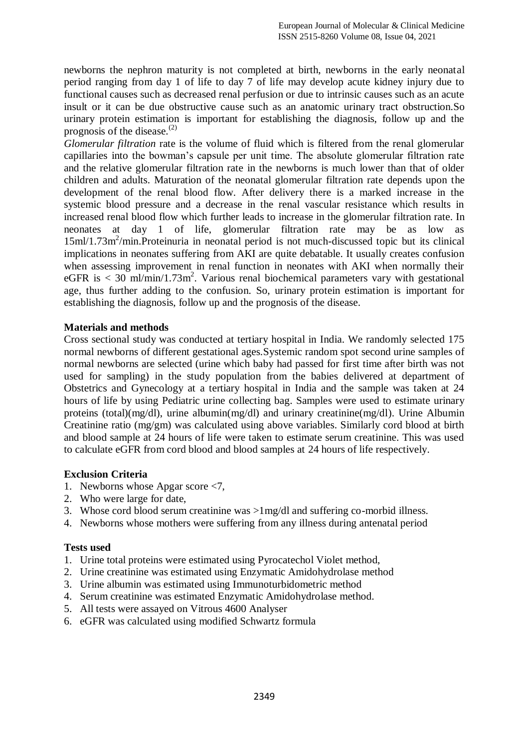newborns the nephron maturity is not completed at birth, newborns in the early neonatal period ranging from day 1 of life to day 7 of life may develop acute kidney injury due to functional causes such as decreased renal perfusion or due to intrinsic causes such as an acute insult or it can be due obstructive cause such as an anatomic urinary tract obstruction.So urinary protein estimation is important for establishing the diagnosis, follow up and the prognosis of the disease. $^{(2)}$ 

*Glomerular filtration* rate is the volume of fluid which is filtered from the renal glomerular capillaries into the bowman's capsule per unit time. The absolute glomerular filtration rate and the relative glomerular filtration rate in the newborns is much lower than that of older children and adults. Maturation of the neonatal glomerular filtration rate depends upon the development of the renal blood flow. After delivery there is a marked increase in the systemic blood pressure and a decrease in the renal vascular resistance which results in increased renal blood flow which further leads to increase in the glomerular filtration rate. In neonates at day 1 of life, glomerular filtration rate may be as low as 15ml/1.73m<sup>2</sup>/min.Proteinuria in neonatal period is not much-discussed topic but its clinical implications in neonates suffering from AKI are quite debatable. It usually creates confusion when assessing improvement in renal function in neonates with AKI when normally their eGFR is  $<$  30 ml/min/1.73m<sup>2</sup>. Various renal biochemical parameters vary with gestational age, thus further adding to the confusion. So, urinary protein estimation is important for establishing the diagnosis, follow up and the prognosis of the disease.

# **Materials and methods**

Cross sectional study was conducted at tertiary hospital in India. We randomly selected 175 normal newborns of different gestational ages.Systemic random spot second urine samples of normal newborns are selected (urine which baby had passed for first time after birth was not used for sampling) in the study population from the babies delivered at department of Obstetrics and Gynecology at a tertiary hospital in India and the sample was taken at 24 hours of life by using Pediatric urine collecting bag. Samples were used to estimate urinary proteins (total)(mg/dl), urine albumin(mg/dl) and urinary creatinine(mg/dl). Urine Albumin Creatinine ratio (mg/gm) was calculated using above variables. Similarly cord blood at birth and blood sample at 24 hours of life were taken to estimate serum creatinine. This was used to calculate eGFR from cord blood and blood samples at 24 hours of life respectively.

# **Exclusion Criteria**

- 1. Newborns whose Apgar score <7,
- 2. Who were large for date,
- 3. Whose cord blood serum creatinine was >1mg/dl and suffering co-morbid illness.
- 4. Newborns whose mothers were suffering from any illness during antenatal period

#### **Tests used**

- 1. Urine total proteins were estimated using Pyrocatechol Violet method,
- 2. Urine creatinine was estimated using Enzymatic Amidohydrolase method
- 3. Urine albumin was estimated using Immunoturbidometric method
- 4. Serum creatinine was estimated Enzymatic Amidohydrolase method.
- 5. All tests were assayed on Vitrous 4600 Analyser
- 6. eGFR was calculated using modified Schwartz formula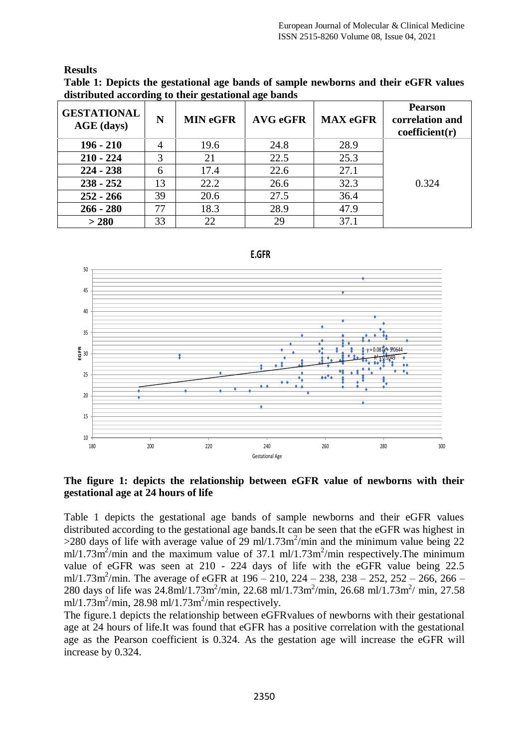#### **Results**

**Table 1: Depicts the gestational age bands of sample newborns and their eGFR values distributed according to their gestational age bands** 

| <b>GESTATIONAL</b><br>AGE (days) | N  | <b>MIN eGFR</b> | <b>AVG eGFR</b> | <b>MAX eGFR</b> | <b>Pearson</b><br>correlation and<br>coefficient(r) |
|----------------------------------|----|-----------------|-----------------|-----------------|-----------------------------------------------------|
| $196 - 210$                      | 4  | 19.6            | 24.8            | 28.9            |                                                     |
| $210 - 224$                      | 3  | 21              | 22.5            | 25.3            |                                                     |
| $224 - 238$                      | 6  | 17.4            | 22.6            | 27.1            |                                                     |
| $238 - 252$                      | 13 | 22.2            | 26.6            | 32.3            | 0.324                                               |
| $252 - 266$                      | 39 | 20.6            | 27.5            | 36.4            |                                                     |
| $266 - 280$                      | 77 | 18.3            | 28.9            | 47.9            |                                                     |
| > 280                            | 33 | 22              | 29              | 37.1            |                                                     |



**The figure 1: depicts the relationship between eGFR value of newborns with their gestational age at 24 hours of life**

Table 1 depicts the gestational age bands of sample newborns and their eGFR values distributed according to the gestational age bands.It can be seen that the eGFR was highest in  $>$ 280 days of life with average value of 29 ml/1.73m<sup>2</sup>/min and the minimum value being 22 ml/1.73m<sup>2</sup>/min and the maximum value of 37.1 ml/1.73m<sup>2</sup>/min respectively. The minimum value of eGFR was seen at 210 - 224 days of life with the eGFR value being 22.5 ml/1.73m<sup>2</sup>/min. The average of eGFR at 196 – 210, 224 – 238, 238 – 252, 252 – 266, 266 – 280 days of life was 24.8ml/1.73m<sup>2</sup>/min, 22.68 ml/1.73m<sup>2</sup>/min, 26.68 ml/1.73m<sup>2</sup>/ min, 27.58  $m!/1.73m^2/m$ in, 28.98 ml/1.73m<sup>2</sup>/min respectively.

The figure.1 depicts the relationship between eGFRvalues of newborns with their gestational age at 24 hours of life.It was found that eGFR has a positive correlation with the gestational age as the Pearson coefficient is 0.324. As the gestation age will increase the eGFR will increase by 0.324.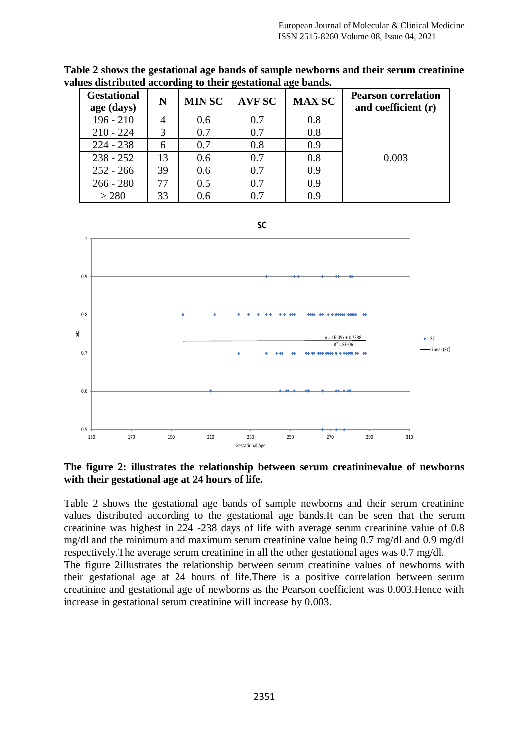| <b>Gestational</b><br>age (days) | N  | <b>MIN SC</b> | <b>AVF SC</b> | <b>MAX SC</b> | <b>Pearson correlation</b><br>and coefficient (r) |
|----------------------------------|----|---------------|---------------|---------------|---------------------------------------------------|
| $196 - 210$                      |    | 0.6           | 0.7           | 0.8           |                                                   |
| $210 - 224$                      | 3  | 0.7           | 0.7           | 0.8           |                                                   |
| $224 - 238$                      | 6  | 0.7           | 0.8           | 0.9           |                                                   |
| $238 - 252$                      | 13 | 0.6           | 0.7           | 0.8           | 0.003                                             |
| $252 - 266$                      | 39 | 0.6           | 0.7           | 0.9           |                                                   |
| $266 - 280$                      | 77 | 0.5           | 0.7           | 0.9           |                                                   |
| > 280                            | 33 | 0.6           | 0.7           | 0.9           |                                                   |

**Table 2 shows the gestational age bands of sample newborns and their serum creatinine values distributed according to their gestational age bands.** 



#### **The figure 2: illustrates the relationship between serum creatininevalue of newborns with their gestational age at 24 hours of life.**

Table 2 shows the gestational age bands of sample newborns and their serum creatinine values distributed according to the gestational age bands.It can be seen that the serum creatinine was highest in 224 -238 days of life with average serum creatinine value of 0.8 mg/dl and the minimum and maximum serum creatinine value being 0.7 mg/dl and 0.9 mg/dl respectively.The average serum creatinine in all the other gestational ages was 0.7 mg/dl.

The figure 2illustrates the relationship between serum creatinine values of newborns with their gestational age at 24 hours of life.There is a positive correlation between serum creatinine and gestational age of newborns as the Pearson coefficient was 0.003.Hence with increase in gestational serum creatinine will increase by 0.003.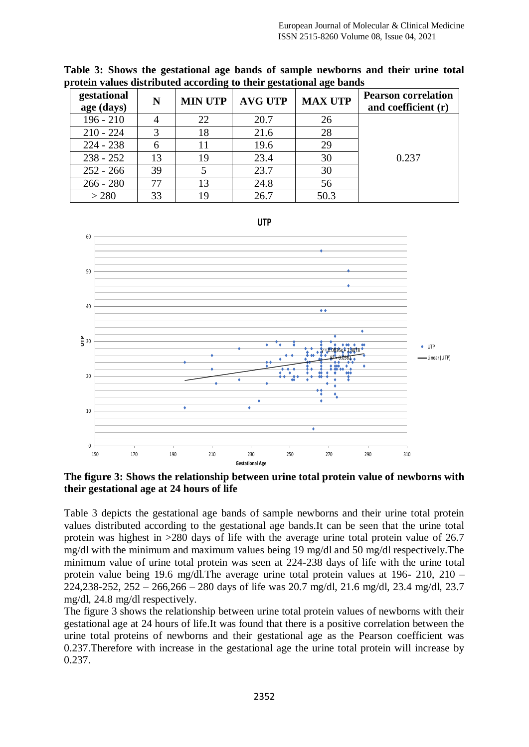| gestational<br>age (days) | N  | <b>MIN UTP</b> | <b>AVG UTP</b> | <b>MAX UTP</b> | <b>Pearson correlation</b><br>and coefficient (r) |
|---------------------------|----|----------------|----------------|----------------|---------------------------------------------------|
| $196 - 210$               |    | 22             | 20.7           | 26             |                                                   |
| $210 - 224$               |    | 18             | 21.6           | 28             |                                                   |
| $224 - 238$               |    | 11             | 19.6           | 29             |                                                   |
| $238 - 252$               | 13 | 19             | 23.4           | 30             | 0.237                                             |
| $252 - 266$               | 39 |                | 23.7           | 30             |                                                   |
| $266 - 280$               | 77 | 13             | 24.8           | 56             |                                                   |
| > 280                     | 33 | 19             | 26.7           | 50.3           |                                                   |

**Table 3: Shows the gestational age bands of sample newborns and their urine total protein values distributed according to their gestational age bands**



**The figure 3: Shows the relationship between urine total protein value of newborns with their gestational age at 24 hours of life**

Table 3 depicts the gestational age bands of sample newborns and their urine total protein values distributed according to the gestational age bands.It can be seen that the urine total protein was highest in >280 days of life with the average urine total protein value of 26.7 mg/dl with the minimum and maximum values being 19 mg/dl and 50 mg/dl respectively.The minimum value of urine total protein was seen at 224-238 days of life with the urine total protein value being 19.6 mg/dl.The average urine total protein values at 196- 210, 210 – 224,238-252, 252 – 266,266 – 280 days of life was 20.7 mg/dl, 21.6 mg/dl, 23.4 mg/dl, 23.7 mg/dl, 24.8 mg/dl respectively.

The figure 3 shows the relationship between urine total protein values of newborns with their gestational age at 24 hours of life.It was found that there is a positive correlation between the urine total proteins of newborns and their gestational age as the Pearson coefficient was 0.237.Therefore with increase in the gestational age the urine total protein will increase by 0.237.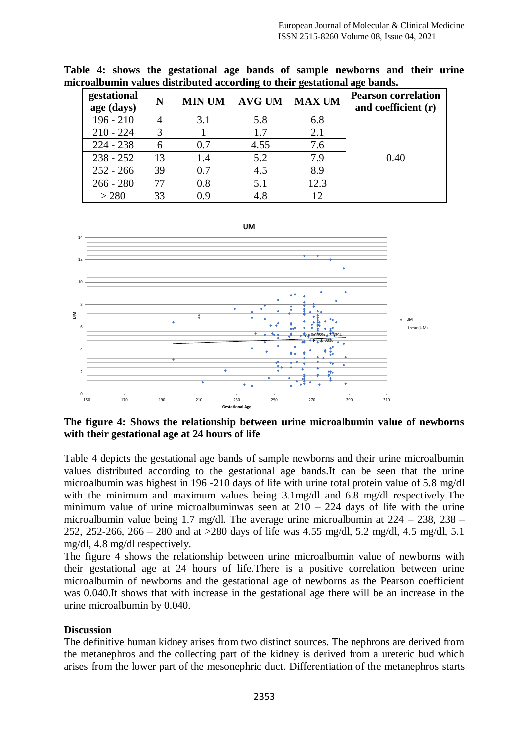| gestational<br>age (days) | N  | <b>MIN UM</b> | $AVG$ UM | <b>MAX UM</b> | <b>Pearson correlation</b><br>and coefficient (r) |
|---------------------------|----|---------------|----------|---------------|---------------------------------------------------|
| $196 - 210$               |    | 3.1           | 5.8      | 6.8           |                                                   |
| $210 - 224$               | 3  |               | 1.7      | 2.1           |                                                   |
| $224 - 238$               | 6  | 0.7           | 4.55     | 7.6           |                                                   |
| $238 - 252$               | 13 | 1.4           | 5.2      | 7.9           | 0.40                                              |
| $252 - 266$               | 39 | 0.7           | 4.5      | 8.9           |                                                   |
| $266 - 280$               | 77 | 0.8           | 5.1      | 12.3          |                                                   |
| > 280                     | 33 | 0.9           | 4.8      | 12            |                                                   |

**Table 4: shows the gestational age bands of sample newborns and their urine microalbumin values distributed according to their gestational age bands.**



**The figure 4: Shows the relationship between urine microalbumin value of newborns with their gestational age at 24 hours of life** 

Table 4 depicts the gestational age bands of sample newborns and their urine microalbumin values distributed according to the gestational age bands.It can be seen that the urine microalbumin was highest in 196 -210 days of life with urine total protein value of 5.8 mg/dl with the minimum and maximum values being 3.1mg/dl and 6.8 mg/dl respectively. The minimum value of urine microalbuminwas seen at  $210 - 224$  days of life with the urine microalbumin value being 1.7 mg/dl. The average urine microalbumin at 224 – 238, 238 – 252, 252-266, 266 – 280 and at >280 days of life was 4.55 mg/dl, 5.2 mg/dl, 4.5 mg/dl, 5.1 mg/dl, 4.8 mg/dl respectively.

The figure 4 shows the relationship between urine microalbumin value of newborns with their gestational age at 24 hours of life.There is a positive correlation between urine microalbumin of newborns and the gestational age of newborns as the Pearson coefficient was 0.040.It shows that with increase in the gestational age there will be an increase in the urine microalbumin by 0.040.

#### **Discussion**

The definitive human kidney arises from two distinct sources. The nephrons are derived from the metanephros and the collecting part of the kidney is derived from a ureteric bud which arises from the lower part of the mesonephric duct. Differentiation of the metanephros starts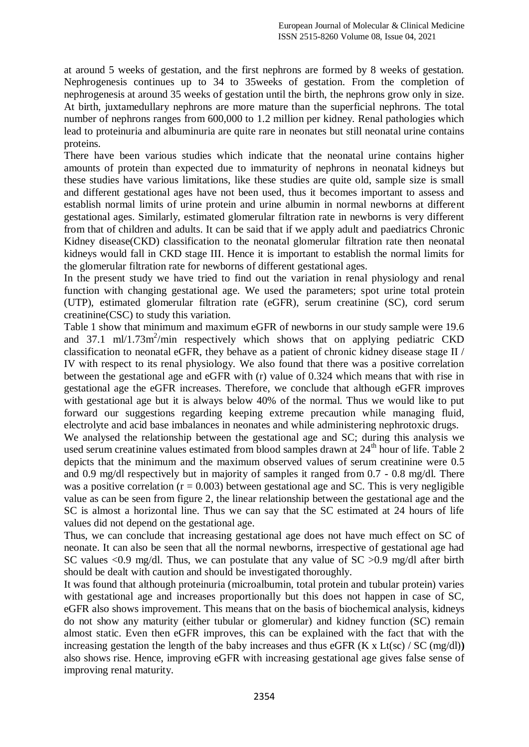at around 5 weeks of gestation, and the first nephrons are formed by 8 weeks of gestation. Nephrogenesis continues up to 34 to 35weeks of gestation. From the completion of nephrogenesis at around 35 weeks of gestation until the birth, the nephrons grow only in size. At birth, juxtamedullary nephrons are more mature than the superficial nephrons. The total number of nephrons ranges from 600,000 to 1.2 million per kidney. Renal pathologies which lead to proteinuria and albuminuria are quite rare in neonates but still neonatal urine contains proteins.

There have been various studies which indicate that the neonatal urine contains higher amounts of protein than expected due to immaturity of nephrons in neonatal kidneys but these studies have various limitations, like these studies are quite old, sample size is small and different gestational ages have not been used, thus it becomes important to assess and establish normal limits of urine protein and urine albumin in normal newborns at different gestational ages. Similarly, estimated glomerular filtration rate in newborns is very different from that of children and adults. It can be said that if we apply adult and paediatrics Chronic Kidney disease(CKD) classification to the neonatal glomerular filtration rate then neonatal kidneys would fall in CKD stage III. Hence it is important to establish the normal limits for the glomerular filtration rate for newborns of different gestational ages.

In the present study we have tried to find out the variation in renal physiology and renal function with changing gestational age. We used the parameters; spot urine total protein (UTP), estimated glomerular filtration rate (eGFR), serum creatinine (SC), cord serum creatinine(CSC) to study this variation.

Table 1 show that minimum and maximum eGFR of newborns in our study sample were 19.6 and 37.1 ml/1.73m<sup>2</sup>/min respectively which shows that on applying pediatric CKD classification to neonatal eGFR, they behave as a patient of chronic kidney disease stage II / IV with respect to its renal physiology. We also found that there was a positive correlation between the gestational age and eGFR with (r) value of 0.324 which means that with rise in gestational age the eGFR increases. Therefore, we conclude that although eGFR improves with gestational age but it is always below 40% of the normal. Thus we would like to put forward our suggestions regarding keeping extreme precaution while managing fluid, electrolyte and acid base imbalances in neonates and while administering nephrotoxic drugs.

We analysed the relationship between the gestational age and SC; during this analysis we used serum creatinine values estimated from blood samples drawn at 24<sup>th</sup> hour of life. Table 2 depicts that the minimum and the maximum observed values of serum creatinine were 0.5 and 0.9 mg/dl respectively but in majority of samples it ranged from 0.7 - 0.8 mg/dl. There was a positive correlation ( $r = 0.003$ ) between gestational age and SC. This is very negligible value as can be seen from figure 2, the linear relationship between the gestational age and the SC is almost a horizontal line. Thus we can say that the SC estimated at 24 hours of life values did not depend on the gestational age.

Thus, we can conclude that increasing gestational age does not have much effect on SC of neonate. It can also be seen that all the normal newborns, irrespective of gestational age had SC values  $\langle 0.9 \text{ mg/dl}$ . Thus, we can postulate that any value of SC  $>0.9 \text{ mg/dl}$  after birth should be dealt with caution and should be investigated thoroughly.

It was found that although proteinuria (microalbumin, total protein and tubular protein) varies with gestational age and increases proportionally but this does not happen in case of SC, eGFR also shows improvement. This means that on the basis of biochemical analysis, kidneys do not show any maturity (either tubular or glomerular) and kidney function (SC) remain almost static. Even then eGFR improves, this can be explained with the fact that with the increasing gestation the length of the baby increases and thus eGFR (K x Lt(sc) / SC (mg/dl)) also shows rise. Hence, improving eGFR with increasing gestational age gives false sense of improving renal maturity.